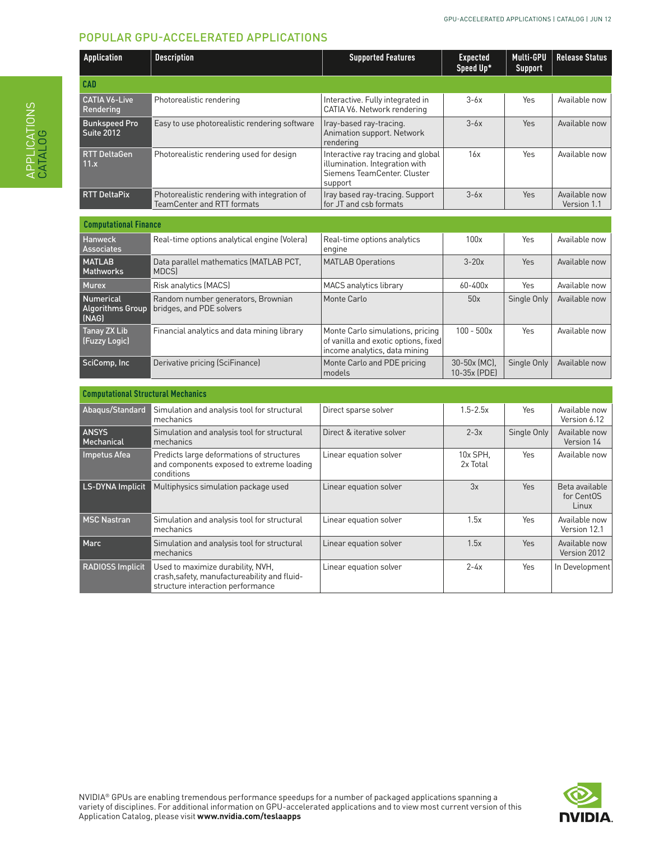# POPULAR GPU-ACCELERATED APPLICATIONS

| <b>Application</b>                 | <b>Description</b>                                                                | <b>Supported Features</b>                                                                                      | <b>Expected</b><br>Speed Up* | Multi-GPU<br>Support | <b>Release Status</b>        |
|------------------------------------|-----------------------------------------------------------------------------------|----------------------------------------------------------------------------------------------------------------|------------------------------|----------------------|------------------------------|
| <b>CAD</b>                         |                                                                                   |                                                                                                                |                              |                      |                              |
| <b>CATIA V6-Live</b><br>Rendering  | Photorealistic rendering                                                          | Interactive. Fully integrated in<br>CATIA V6. Network rendering                                                | $3-6x$                       | Yes                  | Available now                |
| <b>Bunkspeed Pro</b><br>Suite 2012 | Easy to use photorealistic rendering software                                     | Iray-based ray-tracing.<br>Animation support. Network<br>rendering                                             | $3-6x$                       | <b>Yes</b>           | Available now                |
| <b>RTT DeltaGen</b><br>11.x        | Photorealistic rendering used for design                                          | Interactive ray tracing and global<br>illumination. Integration with<br>Siemens TeamCenter, Cluster<br>support | 16x                          | Yes                  | Available now                |
| <b>RTT DeltaPix</b>                | Photorealistic rendering with integration of<br><b>TeamCenter and RTT formats</b> | Iray based ray-tracing. Support<br>for JT and csb formats                                                      | $3-6x$                       | <b>Yes</b>           | Available now<br>Version 1.1 |

| <b>Computational Finance</b>                  |                                                                |                                                                                                           |                              |             |               |
|-----------------------------------------------|----------------------------------------------------------------|-----------------------------------------------------------------------------------------------------------|------------------------------|-------------|---------------|
| Hanweck<br>Associates                         | Real-time options analytical engine (Volera)                   | Real-time options analytics<br>engine                                                                     | 100x                         | Yes         | Available now |
| <b>MATLAB</b><br>Mathworks                    | Data parallel mathematics (MATLAB PCT,<br><b>MDCSI</b>         | MATLAB Operations                                                                                         | $3-20x$                      | Yes         | Available now |
| <b>Murex</b>                                  | Risk analytics (MACS)                                          | MACS analytics library                                                                                    | $60 - 400x$                  | Yes         | Available now |
| Numerical<br><b>Algorithms Group</b><br>(NAG) | Random number generators, Brownian<br>bridges, and PDE solvers | Monte Carlo                                                                                               | 50x                          | Single Only | Available now |
| Tanay ZX Lib<br>(Fuzzy Logic)                 | Financial analytics and data mining library                    | Monte Carlo simulations, pricing<br>of vanilla and exotic options, fixed<br>income analytics, data mining | $100 - 500x$                 | Yes         | Available now |
| SciComp, Inc                                  | Derivative pricing (SciFinance)                                | Monte Carlo and PDE pricing<br>models                                                                     | 30-50x (MC).<br>10-35x (PDE) | Single Only | Available now |

| <b>Computational Structural Mechanics</b> |                                                                                                                        |                           |                      |             |                                       |  |  |  |
|-------------------------------------------|------------------------------------------------------------------------------------------------------------------------|---------------------------|----------------------|-------------|---------------------------------------|--|--|--|
| Abagus/Standard                           | Simulation and analysis tool for structural<br>mechanics                                                               | Direct sparse solver      | $1.5 - 2.5x$         | Yes         | Available now<br>Version 6.12         |  |  |  |
| <b>ANSYS</b><br>Mechanical                | Simulation and analysis tool for structural<br>mechanics                                                               | Direct & iterative solver | $2-3x$               | Single Only | Available now<br>Version 14           |  |  |  |
| Impetus Afea                              | Predicts large deformations of structures<br>and components exposed to extreme loading<br>conditions                   | Linear equation solver    | 10x SPH.<br>2x Total | Yes         | Available now                         |  |  |  |
| LS-DYNA Implicit                          | Multiphysics simulation package used                                                                                   | Linear equation solver    | 3x                   | <b>Yes</b>  | Beta available<br>for CentOS<br>Linux |  |  |  |
| <b>MSC Nastran</b>                        | Simulation and analysis tool for structural<br>mechanics                                                               | Linear equation solver    | 1.5x                 | Yes         | Available now<br>Version 12.1         |  |  |  |
| Marc                                      | Simulation and analysis tool for structural<br>mechanics                                                               | Linear equation solver    | 1.5x                 | Yes         | Available now<br>Version 2012         |  |  |  |
| <b>RADIOSS Implicit</b>                   | Used to maximize durability, NVH,<br>crash, safety, manufactureability and fluid-<br>structure interaction performance | Linear equation solver    | $2 - 4x$             | Yes         | In Development                        |  |  |  |



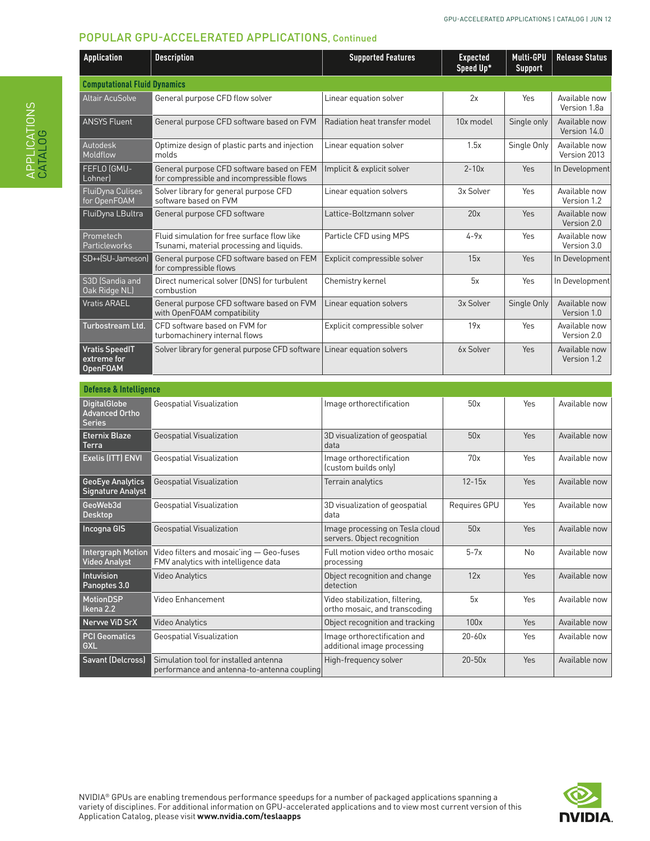| Application                                             | <b>Description</b>                                                                       | <b>Supported Features</b>                                      | <b>Expected</b><br>Speed Up* | Multi-GPU<br><b>Support</b> | <b>Release Status</b>         |
|---------------------------------------------------------|------------------------------------------------------------------------------------------|----------------------------------------------------------------|------------------------------|-----------------------------|-------------------------------|
| <b>Computational Fluid Dynamics</b>                     |                                                                                          |                                                                |                              |                             |                               |
| Altair AcuSolve                                         | General purpose CFD flow solver                                                          | Linear equation solver                                         | 2x                           | Yes                         | Available now<br>Version 1.8a |
| <b>ANSYS Fluent</b>                                     | General purpose CFD software based on FVM                                                | Radiation heat transfer model                                  | 10x model                    | Single only                 | Available now<br>Version 14.0 |
| Autodesk<br>Moldflow                                    | Optimize design of plastic parts and injection<br>molds                                  | Linear equation solver                                         | 1.5x                         | Single Only                 | Available now<br>Version 2013 |
| FEFLO (GMU-<br>Lohner)                                  | General purpose CFD software based on FEM<br>for compressible and incompressible flows   | Implicit & explicit solver                                     | $2 - 10x$                    | Yes                         | In Development                |
| <b>FluiDyna Culises</b><br>for OpenFOAM                 | Solver library for general purpose CFD<br>software based on FVM                          | Linear equation solvers                                        | 3x Solver                    | Yes                         | Available now<br>Version 1.2  |
| FluiDyna LBultra                                        | General purpose CFD software                                                             | Lattice-Boltzmann solver                                       | 20x                          | Yes                         | Available now<br>Version 2.0  |
| Prometech<br>Particleworks                              | Fluid simulation for free surface flow like<br>Tsunami, material processing and liquids. | Particle CFD using MPS                                         | $4-9x$                       | <b>Yes</b>                  | Available now<br>Version 3.0  |
| SD++(SU-Jameson)                                        | General purpose CFD software based on FEM<br>for compressible flows                      | Explicit compressible solver                                   | 15x                          | Yes                         | In Development                |
| S3D (Sandia and<br>Oak Ridge NL)                        | Direct numerical solver (DNS) for turbulent<br>combustion                                | Chemistry kernel                                               | 5x                           | Yes                         | In Development                |
| <b>Vratis ARAEL</b>                                     | General purpose CFD software based on FVM<br>with OpenFOAM compatibility                 | Linear equation solvers                                        | 3x Solver                    | Single Only                 | Available now<br>Version 1.0  |
| Turbostream Ltd.                                        | CFD software based on FVM for<br>turbomachinery internal flows                           | Explicit compressible solver                                   | 19x                          | Yes                         | Available now<br>Version 2.0  |
| <b>Vratis SpeedIT</b><br>extreme for<br><b>OpenFOAM</b> | Solver library for general purpose CFD software Linear equation solvers                  |                                                                | 6x Solver                    | Yes                         | Available now<br>Version 1.2  |
| <b>Defense &amp; Intelligence</b>                       |                                                                                          |                                                                |                              |                             |                               |
| <b>DigitalGlobe</b><br>Advanced Ortho<br>Series         | Geospatial Visualization                                                                 | Image orthorectification                                       | 50x                          | Yes                         | Available now                 |
| Eternix Blaze<br>Terra                                  | Geospatial Visualization                                                                 | 3D visualization of geospatial<br>data                         | 50x                          | Yes                         | Available now                 |
| Exelis (ITT) ENVI                                       | Geospatial Visualization                                                                 | Image orthorectification<br>(custom builds only)               | 70x                          | Yes                         | Available now                 |
| GeoEye Analytics<br>Signature Analyst                   | Geospatial Visualization                                                                 | Terrain analytics                                              | $12 - 15x$                   | Yes                         | Available now                 |
| GeoWeb3d<br>Desktop                                     | Geospatial Visualization                                                                 | 3D visualization of geospatial<br>data                         | Requires GPU                 | Yes                         | Available now                 |
| Incogna GIS                                             | Geospatial Visualization                                                                 | Image processing on Tesla cloud<br>servers. Object recognition | 50x                          | Yes                         | Available now                 |
| Intergraph Motion<br><b>Video Analyst</b>               | Video filters and mosaic'ing - Geo-fuses<br>FMV analytics with intelligence data         | Full motion video ortho mosaic<br>processing                   | $5-7x$                       | <b>No</b>                   | Available now                 |

Video Analytics **Object recognition and change** 

Video Enhancement Video stabilization, filtering,

Geospatial Visualization **Image orthorectification and** 

detection

Nervve ViD SrX Video Analytics **Object recognition and tracking 100x** Yes Available now

ortho mosaic, and transcoding

additional image processing



12x | Yes | Available now

5x | Yes | Available now

20-60x | Yes | Available now

High-frequency solver | 20-50x | Yes | Available now

Intuvision Panoptes 3.0

MotionDSP Ikena 2.2

GXL

PCI Geomatics

Savant (Delcross) Simulation tool for installed antenna

performance and antenna-to-antenna coupling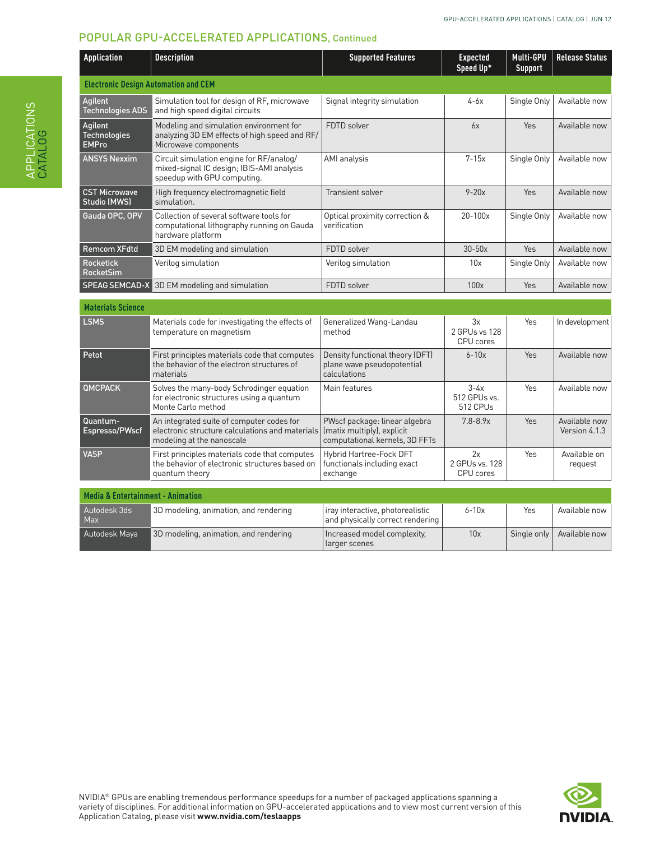| Application                                    | <b>Description</b>                                                                                                        | <b>Supported Features</b>                                                                     | <b>Expected</b><br>Speed Up*       | Multi-GPU<br><b>Support</b> | <b>Release Status</b>          |
|------------------------------------------------|---------------------------------------------------------------------------------------------------------------------------|-----------------------------------------------------------------------------------------------|------------------------------------|-----------------------------|--------------------------------|
| <b>Electronic Design Automation and CEM</b>    |                                                                                                                           |                                                                                               |                                    |                             |                                |
| Agilent<br>Technologies ADS                    | Simulation tool for design of RF, microwave<br>and high speed digital circuits                                            | Signal integrity simulation                                                                   | $4-6x$                             | Single Only                 | Available now                  |
| Agilent<br><b>Technologies</b><br><b>EMPro</b> | Modeling and simulation environment for<br>analyzing 3D EM effects of high speed and RF/<br>Microwave components          | FDTD solver                                                                                   | 6x                                 | Yes                         | Available now                  |
| <b>ANSYS Nexxim</b>                            | Circuit simulation engine for RF/analog/<br>mixed-signal IC design; IBIS-AMI analysis<br>speedup with GPU computing.      | AMI analysis                                                                                  | $7 - 15x$                          | Single Only                 | Available now                  |
| <b>CST Microwave</b><br>Studio (MWS)           | High frequency electromagnetic field<br>simulation.                                                                       | Transient solver                                                                              | $9-20x$                            | Yes                         | Available now                  |
| Gauda OPC, OPV                                 | Collection of several software tools for<br>computational lithography running on Gauda<br>hardware platform               | Optical proximity correction &<br>verification                                                | $20 - 100x$                        | Single Only                 | Available now                  |
| Remcom XFdtd                                   | 3D EM modeling and simulation                                                                                             | FDTD solver                                                                                   | $30-50x$                           | Yes                         | Available now                  |
| Rocketick<br>RocketSim                         | Verilog simulation                                                                                                        | Verilog simulation                                                                            | 10x                                | Single Only                 | Available now                  |
| <b>SPEAG SEMCAD-X</b>                          | 3D EM modeling and simulation                                                                                             | FDTD solver                                                                                   | 100x                               | Yes                         | Available now                  |
| <b>Materials Science</b>                       |                                                                                                                           |                                                                                               |                                    |                             |                                |
| <b>LSMS</b>                                    | Materials code for investigating the effects of<br>temperature on magnetism                                               | Generalized Wang-Landau<br>method                                                             | 3x<br>2 GPUs vs 128<br>CPU cores   | Yes                         | In development                 |
| Petot                                          | First principles materials code that computes<br>the behavior of the electron structures of<br>materials                  | Density functional theory (DFT)<br>plane wave pseudopotential<br>calculations                 | $6 - 10x$                          | Yes                         | Available now                  |
| QMCPACK                                        | Solves the many-body Schrodinger equation<br>for electronic structures using a quantum<br>Monte Carlo method              | Main features                                                                                 | $3-4x$<br>512 GPUs vs.<br>512 CPUs | Yes                         | Available now                  |
| Quantum-<br>Espresso/PWscf                     | An integrated suite of computer codes for<br>electronic structure calculations and materials<br>modeling at the nanoscale | PWscf package: linear algebra<br>(matix multiply), explicit<br>computational kernels, 3D FFTs | $7.8 - 8.9x$                       | Yes                         | Available now<br>Version 4.1.3 |
| VASP                                           | First principles materials code that computes<br>the behavior of electronic structures based on<br>quantum theory         | Hybrid Hartree-Fock DFT<br>functionals including exact<br>exchange                            | 2x<br>2 GPUs vs. 128<br>CPU cores  | Yes                         | Available on<br>request        |
| <b>Media &amp; Entertainment - Animation</b>   |                                                                                                                           |                                                                                               |                                    |                             |                                |
|                                                | 3D modeling, animation, and rendering                                                                                     | iray interactive, photorealistic                                                              | $6 - 10x$                          | Yes                         | Available now                  |
| Autodesk 3ds<br>Max                            |                                                                                                                           | and physically correct rendering                                                              |                                    |                             |                                |
| Autodesk Maya                                  | 3D modeling, animation, and rendering                                                                                     | Increased model complexity,<br>larger scenes                                                  | 10x                                | Single only                 | Available now                  |

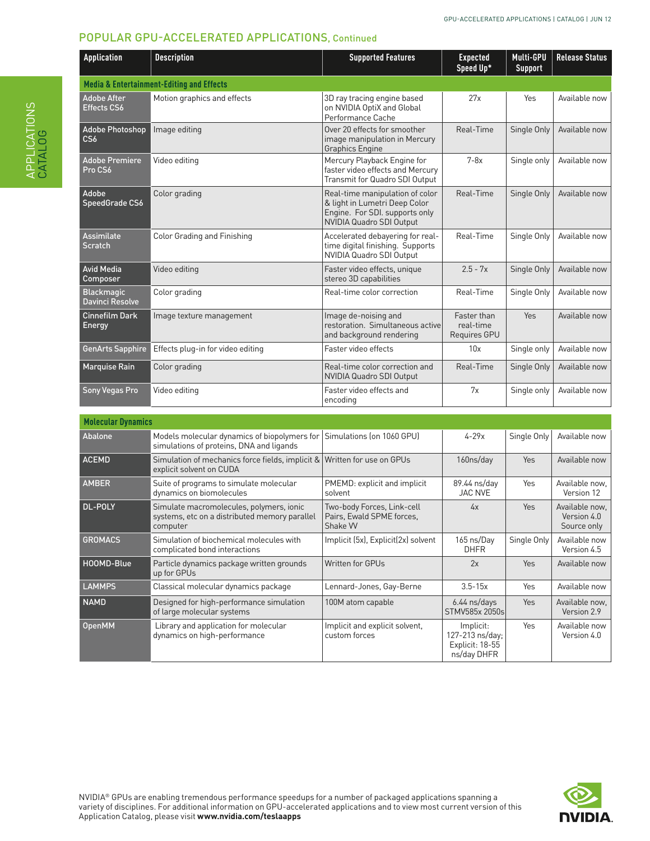| Application                                 | <b>Description</b>                                   | <b>Supported Features</b>                                                                                                      | <b>Expected</b><br>Speed Up*             | Multi-GPU<br><b>Support</b> | <b>Release Status</b> |
|---------------------------------------------|------------------------------------------------------|--------------------------------------------------------------------------------------------------------------------------------|------------------------------------------|-----------------------------|-----------------------|
|                                             | <b>Media &amp; Entertainment-Editing and Effects</b> |                                                                                                                                |                                          |                             |                       |
| <b>Adobe After</b><br>Effects CS6           | Motion graphics and effects                          | 3D ray tracing engine based<br>on NVIDIA OptiX and Global<br>Performance Cache                                                 | 27x                                      | Yes                         | Available now         |
| Adobe Photoshop<br>CS6                      | Image editing                                        | Over 20 effects for smoother<br>image manipulation in Mercury<br><b>Graphics Engine</b>                                        | Real-Time                                | Single Only                 | Available now         |
| <b>Adobe Premiere</b><br>Pro CS6            | Video editing                                        | Mercury Playback Engine for<br>faster video effects and Mercury<br>Transmit for Quadro SDI Output                              | $7-8x$                                   | Single only                 | Available now         |
| Adobe<br>SpeedGrade CS6                     | Color grading                                        | Real-time manipulation of color<br>& light in Lumetri Deep Color<br>Engine. For SDI. supports only<br>NVIDIA Quadro SDI Output | Real-Time                                | Single Only                 | Available now         |
| <b>Assimilate</b><br><b>Scratch</b>         | <b>Color Grading and Finishing</b>                   | Accelerated debayering for real-<br>time digital finishing. Supports<br>NVIDIA Quadro SDI Output                               | Real-Time                                | Single Only                 | Available now         |
| <b>Avid Media</b><br>Composer               | Video editing                                        | Faster video effects, unique<br>stereo 3D capabilities                                                                         | $2.5 - 7x$                               | Single Only                 | Available now         |
| <b>Blackmagic</b><br><b>Davinci Resolve</b> | Color grading                                        | Real-time color correction                                                                                                     | Real-Time                                | Single Only                 | Available now         |
| <b>Cinnefilm Dark</b><br><b>Energy</b>      | Image texture management                             | Image de-noising and<br>restoration. Simultaneous active<br>and background rendering                                           | Faster than<br>real-time<br>Requires GPU | Yes                         | Available now         |
| <b>GenArts Sapphire</b>                     | Effects plug-in for video editing                    | Faster video effects                                                                                                           | 10x                                      | Single only                 | Available now         |
| <b>Marquise Rain</b>                        | Color grading                                        | Real-time color correction and<br>NVIDIA Quadro SDI Output                                                                     | Real-Time                                | Single Only                 | Available now         |
| Sony Vegas Pro                              | Video editing                                        | Faster video effects and<br>encodina                                                                                           | 7x                                       | Single only                 | Available now         |

| <b>Molecular Dynamics</b> |                                                                                                       |                                                                    |                                                                |             |                                              |
|---------------------------|-------------------------------------------------------------------------------------------------------|--------------------------------------------------------------------|----------------------------------------------------------------|-------------|----------------------------------------------|
| Abalone                   | Models molecular dynamics of biopolymers for<br>simulations of proteins, DNA and ligands              | Simulations (on 1060 GPU)                                          | $4 - 29x$                                                      | Single Only | Available now                                |
| <b>ACEMD</b>              | Simulation of mechanics force fields, implicit & Written for use on GPUs<br>explicit solvent on CUDA  |                                                                    | 160ns/day                                                      | Yes         | Available now                                |
| <b>AMBER</b>              | Suite of programs to simulate molecular<br>dynamics on biomolecules                                   | PMEMD: explicit and implicit<br>solvent                            | 89.44 ns/day<br><b>JAC NVE</b>                                 | Yes         | Available now,<br>Version 12                 |
| DL-POLY                   | Simulate macromolecules, polymers, ionic<br>systems, etc on a distributed memory parallel<br>computer | Two-body Forces, Link-cell<br>Pairs, Ewald SPME forces,<br>Shake W | 4x                                                             | Yes         | Available now,<br>Version 4.0<br>Source only |
| <b>GROMACS</b>            | Simulation of biochemical molecules with<br>complicated bond interactions                             | Implicit (5x), Explicit(2x) solvent                                | 165 ns/Day<br><b>DHFR</b>                                      | Single Only | Available now<br>Version 4.5                 |
| HOOMD-Blue                | Particle dynamics package written grounds<br>up for GPUs                                              | <b>Written for GPUs</b>                                            | 2x                                                             | <b>Yes</b>  | Available now                                |
| <b>LAMMPS</b>             | Classical molecular dynamics package                                                                  | Lennard-Jones, Gay-Berne                                           | $3.5 - 15x$                                                    | Yes         | Available now                                |
| <b>NAMD</b>               | Designed for high-performance simulation<br>of large molecular systems                                | 100M atom capable                                                  | $6.44$ ns/days<br>STMV585x 2050s                               | Yes         | Available now.<br>Version 2.9                |
| <b>OpenMM</b>             | Library and application for molecular<br>dynamics on high-performance                                 | Implicit and explicit solvent,<br>custom forces                    | Implicit:<br>127-213 ns/day:<br>Explicit: 18-55<br>ns/day DHFR | Yes         | Available now<br>Version 4.0                 |

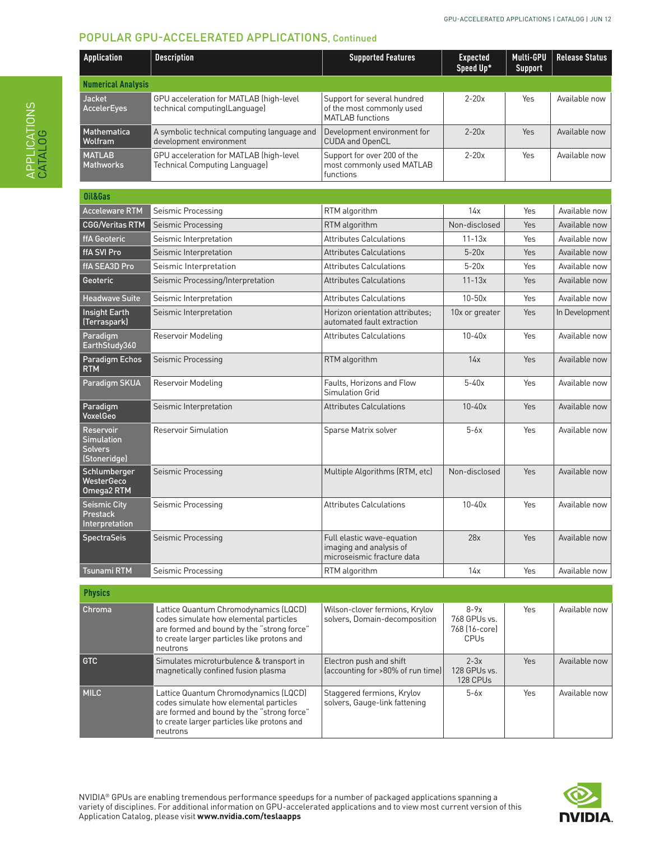| <b>Application</b>                                        | <b>Description</b>                                                       | <b>Supported Features</b>                                                           | <b>Expected</b><br>Speed Up* | Multi-GPU<br><b>Support</b> | <b>Release Status</b> |
|-----------------------------------------------------------|--------------------------------------------------------------------------|-------------------------------------------------------------------------------------|------------------------------|-----------------------------|-----------------------|
| <b>Numerical Analysis</b>                                 |                                                                          |                                                                                     |                              |                             |                       |
| <b>Jacket</b><br><b>AccelerEyes</b>                       | GPU acceleration for MATLAB (high-level<br>technical computinglLanguage) | Support for several hundred<br>of the most commonly used<br><b>MATLAB</b> functions | $2-20x$                      | Yes                         | Available now         |
| <b>Mathematica</b><br>Wolfram                             | A symbolic technical computing language and<br>development environment   | Development environment for<br><b>CUDA and OpenCL</b>                               | $2-20x$                      | Yes                         | Available now         |
| <b>MATLAB</b><br><b>Mathworks</b>                         | GPU acceleration for MATLAB (high-level<br>Technical Computing Language) | Support for over 200 of the<br>most commonly used MATLAB<br>functions               | $2-20x$                      | Yes                         | Available now         |
| Oil&Gas                                                   |                                                                          |                                                                                     |                              |                             |                       |
| <b>Acceleware RTM</b>                                     | Seismic Processing                                                       | RTM algorithm                                                                       | 14x                          | Yes                         | Available now         |
| <b>CGG/Veritas RTM</b>                                    | Seismic Processing                                                       | RTM algorithm                                                                       | Non-disclosed                | Yes                         | Available now         |
| ffA Geoteric                                              | Seismic Interpretation                                                   | <b>Attributes Calculations</b>                                                      | $11 - 13x$                   | Yes                         | Available now         |
| ffA SVI Pro                                               | Seismic Interpretation                                                   | <b>Attributes Calculations</b>                                                      | $5-20x$                      | Yes                         | Available now         |
| ffA SEA3D Pro                                             | Seismic Interpretation                                                   | <b>Attributes Calculations</b>                                                      | $5-20x$                      | Yes                         | Available now         |
| Geoteric                                                  | Seismic Processing/Interpretation                                        | <b>Attributes Calculations</b>                                                      | $11 - 13x$                   | Yes                         | Available now         |
| <b>Headwave Suite</b>                                     | Seismic Interpretation                                                   | <b>Attributes Calculations</b>                                                      | $10-50x$                     | Yes                         | Available now         |
| <b>Insight Earth</b><br>(Terraspark)                      | Seismic Interpretation                                                   | Horizon orientation attributes;<br>automated fault extraction                       | 10x or greater               | Yes                         | In Development        |
| Paradigm<br>EarthStudy360                                 | Reservoir Modeling                                                       | <b>Attributes Calculations</b>                                                      | $10 - 40x$                   | Yes                         | Available now         |
| Paradigm Echos<br><b>RTM</b>                              | Seismic Processing                                                       | RTM algorithm                                                                       | 14x                          | Yes                         | Available now         |
| Paradigm SKUA                                             | Reservoir Modeling                                                       | Faults. Horizons and Flow<br><b>Simulation Grid</b>                                 | $5-40x$                      | Yes                         | Available now         |
| Paradigm<br>VoxelGeo                                      | Seismic Interpretation                                                   | <b>Attributes Calculations</b>                                                      | $10 - 40x$                   | Yes                         | Available now         |
| Reservoir<br><b>Simulation</b><br>Solvers<br>(Stoneridge) | <b>Reservoir Simulation</b>                                              | Sparse Matrix solver                                                                | $5-6x$                       | Yes                         | Available now         |
| Schlumberger<br>WesterGeco<br>Omega2 RTM                  | Seismic Processing                                                       | Multiple Algorithms (RTM, etc)                                                      | Non-disclosed                | Yes                         | Available now         |
| Seismic City<br>Prestack<br>Interpretation                | Seismic Processing                                                       | <b>Attributes Calculations</b>                                                      | $10 - 40x$                   | Yes                         | Available now         |
| <b>SpectraSeis</b>                                        | Seismic Processing                                                       | Full elastic wave-equation<br>imaging and analysis of<br>microseismic fracture data | 28x                          | Yes                         | Available now         |
| Tsunami RTM                                               | Seismic Processing                                                       | RTM algorithm                                                                       | 14x                          | Yes                         | Available now         |

| <b>Physics</b> |                                                                                                                                                                                          |                                                                 |                                                        |     |               |
|----------------|------------------------------------------------------------------------------------------------------------------------------------------------------------------------------------------|-----------------------------------------------------------------|--------------------------------------------------------|-----|---------------|
| Chroma         | Lattice Quantum Chromodynamics (LQCD)<br>codes simulate how elemental particles<br>are formed and bound by the "strong force"<br>to create larger particles like protons and<br>neutrons | Wilson-clover fermions, Krylov<br>solvers, Domain-decomposition | $8-9x$<br>768 GPUs vs.<br>768 (16-core)<br><b>CPUs</b> | Yes | Available now |
| GTC            | Simulates microturbulence & transport in<br>magnetically confined fusion plasma                                                                                                          | Electron push and shift<br>(accounting for >80% of run time)    | $2-3x$<br>128 GPUs vs.<br>128 CPUs                     | Yes | Available now |
| <b>MILC</b>    | Lattice Quantum Chromodynamics (LQCD)<br>codes simulate how elemental particles<br>are formed and bound by the "strong force"<br>to create larger particles like protons and<br>neutrons | Staggered fermions, Krylov<br>solvers, Gauge-link fattening     | $5-6x$                                                 | Yes | Available now |

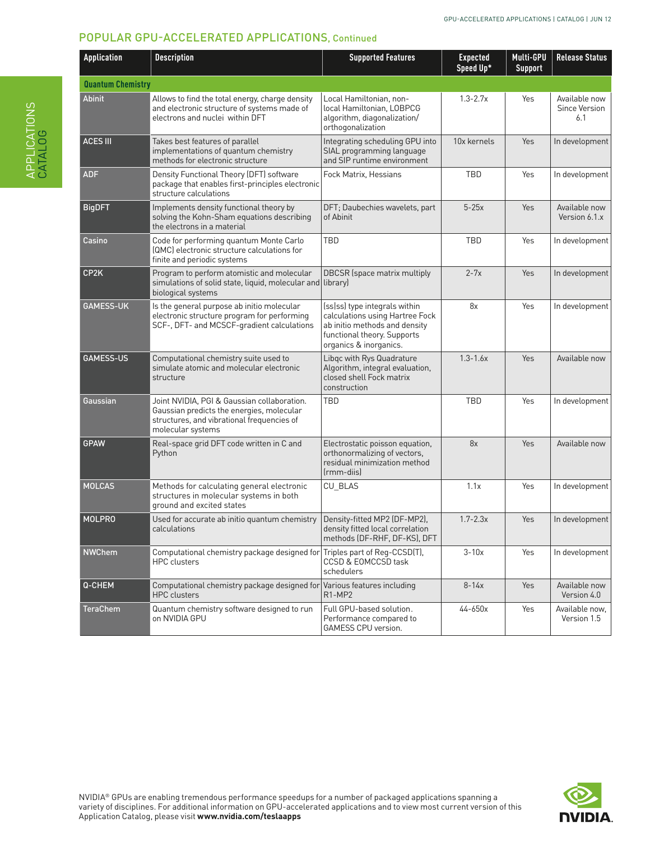| <b>Application</b>       | <b>Description</b>                                                                                                                                          | <b>Supported Features</b>                                                                                                                                  | <b>Expected</b><br>Speed Up* | Multi-GPU<br><b>Support</b> | <b>Release Status</b>                 |
|--------------------------|-------------------------------------------------------------------------------------------------------------------------------------------------------------|------------------------------------------------------------------------------------------------------------------------------------------------------------|------------------------------|-----------------------------|---------------------------------------|
| <b>Quantum Chemistry</b> |                                                                                                                                                             |                                                                                                                                                            |                              |                             |                                       |
| <b>Abinit</b>            | Allows to find the total energy, charge density<br>and electronic structure of systems made of<br>electrons and nuclei within DFT                           | Local Hamiltonian, non-<br>local Hamiltonian, LOBPCG<br>algorithm, diagonalization/<br>orthogonalization                                                   | $1.3 - 2.7x$                 | Yes                         | Available now<br>Since Version<br>6.1 |
| <b>ACES III</b>          | Takes best features of parallel<br>implementations of quantum chemistry<br>methods for electronic structure                                                 | Integrating scheduling GPU into<br>SIAL programming language<br>and SIP runtime environment                                                                | 10x kernels                  | Yes                         | In development                        |
| <b>ADF</b>               | Density Functional Theory (DFT) software<br>package that enables first-principles electronic<br>structure calculations                                      | Fock Matrix, Hessians                                                                                                                                      | <b>TBD</b>                   | Yes                         | In development                        |
| <b>BigDFT</b>            | Implements density functional theory by<br>solving the Kohn-Sham equations describing<br>the electrons in a material                                        | DFT; Daubechies wavelets, part<br>of Abinit                                                                                                                | $5-25x$                      | Yes                         | Available now<br>Version 6.1.x        |
| Casino                   | Code for performing quantum Monte Carlo<br>(QMC) electronic structure calculations for<br>finite and periodic systems                                       | TBD                                                                                                                                                        | TBD                          | Yes                         | In development                        |
| CP <sub>2</sub> K        | Program to perform atomistic and molecular<br>simulations of solid state, liquid, molecular and library)<br>biological systems                              | <b>DBCSR</b> (space matrix multiply                                                                                                                        | $2 - 7x$                     | Yes                         | In development                        |
| <b>GAMESS-UK</b>         | Is the general purpose ab initio molecular<br>electronic structure program for performing<br>SCF-, DFT- and MCSCF-gradient calculations                     | (ss ss) type integrals within<br>calculations using Hartree Fock<br>ab initio methods and density<br>functional theory. Supports<br>organics & inorganics. | 8x                           | Yes                         | In development                        |
| <b>GAMESS-US</b>         | Computational chemistry suite used to<br>simulate atomic and molecular electronic<br>structure                                                              | Libqc with Rys Quadrature<br>Algorithm, integral evaluation,<br>closed shell Fock matrix<br>construction                                                   | $1.3 - 1.6x$                 | Yes                         | Available now                         |
| Gaussian                 | Joint NVIDIA, PGI & Gaussian collaboration.<br>Gaussian predicts the energies, molecular<br>structures, and vibrational frequencies of<br>molecular systems | <b>TBD</b>                                                                                                                                                 | <b>TBD</b>                   | Yes                         | In development                        |
| <b>GPAW</b>              | Real-space grid DFT code written in C and<br>Python                                                                                                         | Electrostatic poisson equation,<br>orthonormalizing of vectors,<br>residual minimization method<br>frmm-diisl                                              | 8x                           | Yes                         | Available now                         |
| <b>MOLCAS</b>            | Methods for calculating general electronic<br>structures in molecular systems in both<br>ground and excited states                                          | <b>CU BLAS</b>                                                                                                                                             | 1.1x                         | Yes                         | In development                        |
| <b>MOLPRO</b>            | Used for accurate ab initio quantum chemistry<br>calculations                                                                                               | Density-fitted MP2 (DF-MP2),<br>density fitted local correlation<br>methods (DF-RHF, DF-KS), DFT                                                           | $1.7 - 2.3x$                 | Yes                         | In development                        |
| <b>NWChem</b>            | Computational chemistry package designed for Triples part of Reg-CCSD(T),<br><b>HPC</b> clusters                                                            | CCSD & EOMCCSD task<br>schedulers                                                                                                                          | $3-10x$                      | Yes                         | In development                        |
| Q-CHEM                   | Computational chemistry package designed for<br><b>HPC</b> clusters                                                                                         | Various features including<br>R <sub>1</sub> -MP <sub>2</sub>                                                                                              | $8 - 14x$                    | Yes                         | Available now<br>Version 4.0          |
| TeraChem                 | Quantum chemistry software designed to run<br>on NVIDIA GPU                                                                                                 | Full GPU-based solution.<br>Performance compared to<br>GAMESS CPU version.                                                                                 | 44-650x                      | Yes                         | Available now,<br>Version 1.5         |